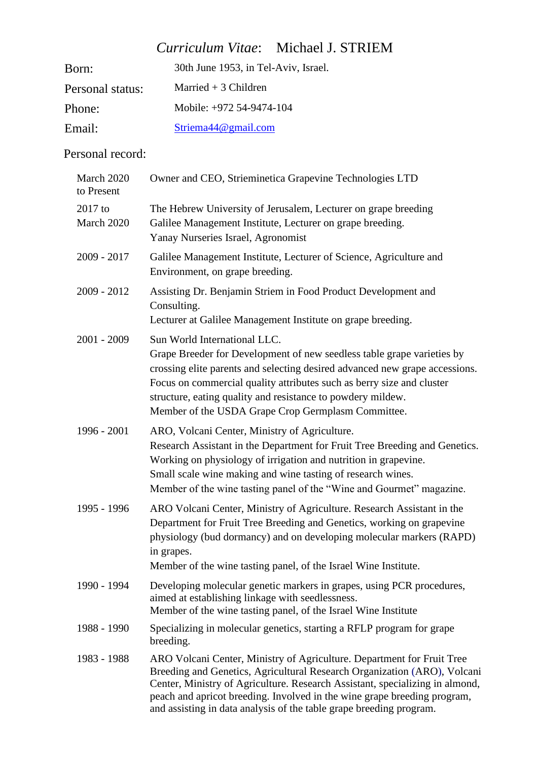# *Curriculum Vitae*: Michael J. STRIEM

| Born:            | 30th June 1953, in Tel-Aviv, Israel. |
|------------------|--------------------------------------|
| Personal status: | Married $+3$ Children                |
| Phone:           | Mobile: +972 54-9474-104             |
| Email:           | Striema $44@$ gmail.com              |

## Personal record:

| March 2020<br>to Present | Owner and CEO, Strieminetica Grapevine Technologies LTD                                                                                                                                                                                                                                                                                                                               |
|--------------------------|---------------------------------------------------------------------------------------------------------------------------------------------------------------------------------------------------------------------------------------------------------------------------------------------------------------------------------------------------------------------------------------|
| 2017 to<br>March 2020    | The Hebrew University of Jerusalem, Lecturer on grape breeding<br>Galilee Management Institute, Lecturer on grape breeding.<br>Yanay Nurseries Israel, Agronomist                                                                                                                                                                                                                     |
| $2009 - 2017$            | Galilee Management Institute, Lecturer of Science, Agriculture and<br>Environment, on grape breeding.                                                                                                                                                                                                                                                                                 |
| $2009 - 2012$            | Assisting Dr. Benjamin Striem in Food Product Development and<br>Consulting.<br>Lecturer at Galilee Management Institute on grape breeding.                                                                                                                                                                                                                                           |
| $2001 - 2009$            | Sun World International LLC.<br>Grape Breeder for Development of new seedless table grape varieties by<br>crossing elite parents and selecting desired advanced new grape accessions.<br>Focus on commercial quality attributes such as berry size and cluster<br>structure, eating quality and resistance to powdery mildew.<br>Member of the USDA Grape Crop Germplasm Committee.   |
| 1996 - 2001              | ARO, Volcani Center, Ministry of Agriculture.<br>Research Assistant in the Department for Fruit Tree Breeding and Genetics.<br>Working on physiology of irrigation and nutrition in grapevine.<br>Small scale wine making and wine tasting of research wines.<br>Member of the wine tasting panel of the "Wine and Gourmet" magazine.                                                 |
| 1995 - 1996              | ARO Volcani Center, Ministry of Agriculture. Research Assistant in the<br>Department for Fruit Tree Breeding and Genetics, working on grapevine<br>physiology (bud dormancy) and on developing molecular markers (RAPD)<br>in grapes.<br>Member of the wine tasting panel, of the Israel Wine Institute.                                                                              |
| 1990 - 1994              | Developing molecular genetic markers in grapes, using PCR procedures,<br>aimed at establishing linkage with seedlessness.<br>Member of the wine tasting panel, of the Israel Wine Institute                                                                                                                                                                                           |
| 1988 - 1990              | Specializing in molecular genetics, starting a RFLP program for grape<br>breeding.                                                                                                                                                                                                                                                                                                    |
| 1983 - 1988              | ARO Volcani Center, Ministry of Agriculture. Department for Fruit Tree<br>Breeding and Genetics, Agricultural Research Organization (ARO), Volcani<br>Center, Ministry of Agriculture. Research Assistant, specializing in almond,<br>peach and apricot breeding. Involved in the wine grape breeding program,<br>and assisting in data analysis of the table grape breeding program. |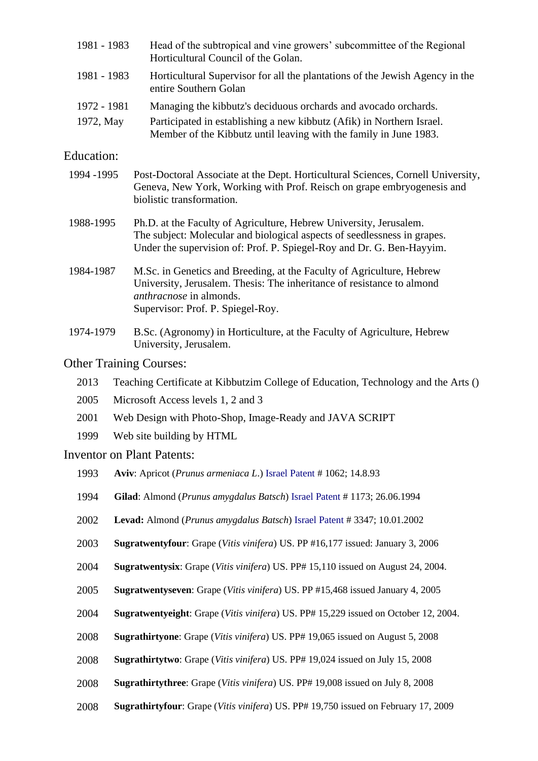| 1981 - 1983                                                                                                                                                                                                                          | Head of the subtropical and vine growers' subcommittee of the Regional<br>Horticultural Council of the Golan.                                                                                                          |  |
|--------------------------------------------------------------------------------------------------------------------------------------------------------------------------------------------------------------------------------------|------------------------------------------------------------------------------------------------------------------------------------------------------------------------------------------------------------------------|--|
| 1981 - 1983                                                                                                                                                                                                                          | Horticultural Supervisor for all the plantations of the Jewish Agency in the<br>entire Southern Golan                                                                                                                  |  |
| 1972 - 1981                                                                                                                                                                                                                          | Managing the kibbutz's deciduous orchards and avocado orchards.                                                                                                                                                        |  |
| 1972, May                                                                                                                                                                                                                            | Participated in establishing a new kibbutz (Afik) in Northern Israel.<br>Member of the Kibbutz until leaving with the family in June 1983.                                                                             |  |
| Education:                                                                                                                                                                                                                           |                                                                                                                                                                                                                        |  |
| 1994 - 1995                                                                                                                                                                                                                          | Post-Doctoral Associate at the Dept. Horticultural Sciences, Cornell University,<br>Geneva, New York, Working with Prof. Reisch on grape embryogenesis and<br>biolistic transformation.                                |  |
| Ph.D. at the Faculty of Agriculture, Hebrew University, Jerusalem.<br>1988-1995<br>The subject: Molecular and biological aspects of seedlessness in grapes.<br>Under the supervision of: Prof. P. Spiegel-Roy and Dr. G. Ben-Hayyim. |                                                                                                                                                                                                                        |  |
| 1984-1987                                                                                                                                                                                                                            | M.Sc. in Genetics and Breeding, at the Faculty of Agriculture, Hebrew<br>University, Jerusalem. Thesis: The inheritance of resistance to almond<br><i>anthracnose</i> in almonds.<br>Supervisor: Prof. P. Spiegel-Roy. |  |
| 1974-1979                                                                                                                                                                                                                            | B.Sc. (Agronomy) in Horticulture, at the Faculty of Agriculture, Hebrew<br>University, Jerusalem.                                                                                                                      |  |
|                                                                                                                                                                                                                                      | <b>Other Training Courses:</b>                                                                                                                                                                                         |  |
| 2013                                                                                                                                                                                                                                 | Teaching Certificate at Kibbutzim College of Education, Technology and the Arts ()                                                                                                                                     |  |
| 2005                                                                                                                                                                                                                                 | Microsoft Access levels 1, 2 and 3                                                                                                                                                                                     |  |
| 2001                                                                                                                                                                                                                                 | Web Design with Photo-Shop, Image-Ready and JAVA SCRIPT                                                                                                                                                                |  |
| 1999                                                                                                                                                                                                                                 | Web site building by HTML                                                                                                                                                                                              |  |
|                                                                                                                                                                                                                                      | <b>Inventor on Plant Patents:</b>                                                                                                                                                                                      |  |
| 1993                                                                                                                                                                                                                                 | Aviv: Apricot (Prunus armeniaca L.) Israel Patent # 1062; 14.8.93                                                                                                                                                      |  |
| 1994                                                                                                                                                                                                                                 | Gilad: Almond (Prunus amygdalus Batsch) Israel Patent #1173; 26.06.1994                                                                                                                                                |  |
| 2002                                                                                                                                                                                                                                 | Levad: Almond (Prunus amygdalus Batsch) Israel Patent #3347; 10.01.2002                                                                                                                                                |  |
| 2003                                                                                                                                                                                                                                 | Sugratwentyfour: Grape (Vitis vinifera) US. PP #16,177 issued: January 3, 2006                                                                                                                                         |  |
| 2004                                                                                                                                                                                                                                 | Sugratwentysix: Grape (Vitis vinifera) US. PP# 15,110 issued on August 24, 2004.                                                                                                                                       |  |
| 2005                                                                                                                                                                                                                                 | Sugratwentyseven: Grape (Vitis vinifera) US. PP #15,468 issued January 4, 2005                                                                                                                                         |  |
| 2004                                                                                                                                                                                                                                 | Sugratwentyeight: Grape (Vitis vinifera) US. PP# 15,229 issued on October 12, 2004.                                                                                                                                    |  |
| 2008                                                                                                                                                                                                                                 | <b>Sugrathirtyone:</b> Grape (Vitis vinifera) US. PP# 19,065 issued on August 5, 2008                                                                                                                                  |  |
| 2008                                                                                                                                                                                                                                 | Sugrathirtytwo: Grape (Vitis vinifera) US. PP# 19,024 issued on July 15, 2008                                                                                                                                          |  |
| 2008                                                                                                                                                                                                                                 | Sugrathirtythree: Grape (Vitis vinifera) US. PP# 19,008 issued on July 8, 2008                                                                                                                                         |  |

2008 **Sugrathirtyfour**: Grape (*Vitis vinifera*) US. PP# 19,750 issued on February 17, 2009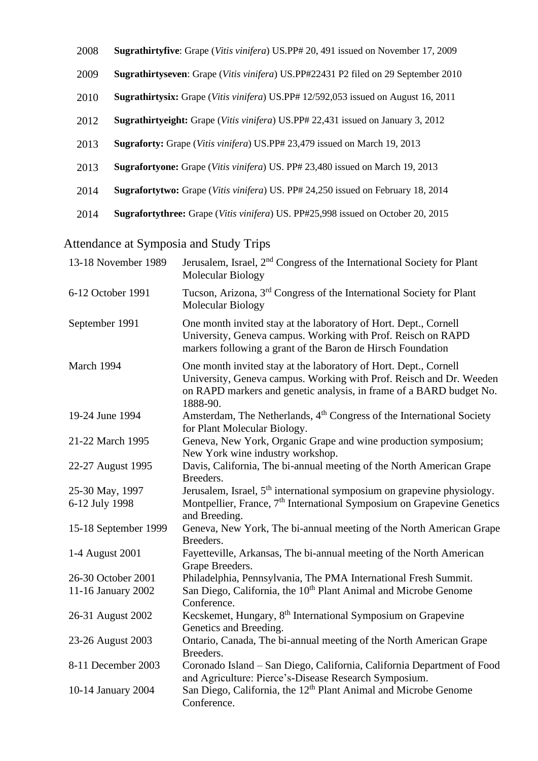- 2008 **Sugrathirtyfive**: Grape (*Vitis vinifera*) US.PP# 20, 491 issued on November 17, 2009
- 2009 **Sugrathirtyseven**: Grape (*Vitis vinifera*) US.PP#22431 P2 filed on 29 September 2010
- 2010 **Sugrathirtysix:** Grape (*Vitis vinifera*) US.PP# 12/592,053 issued on August 16, 2011
- 2012 **Sugrathirtyeight:** Grape (*Vitis vinifera*) US.PP# 22,431 issued on January 3, 2012
- 2013 **Sugraforty:** Grape (*Vitis vinifera*) US.PP# 23,479 issued on March 19, 2013
- 2013 **Sugrafortyone:** Grape (*Vitis vinifera*) US. PP# 23,480 issued on March 19, 2013
- 2014 **Sugrafortytwo:** Grape (*Vitis vinifera*) US. PP# 24,250 issued on February 18, 2014
- 2014 **Sugrafortythree:** Grape (*Vitis vinifera*) US. PP#25,998 issued on October 20, 2015

# Attendance at Symposia and Study Trips

| 13-18 November 1989  | Jerusalem, Israel, 2 <sup>nd</sup> Congress of the International Society for Plant<br>Molecular Biology                                                                                                                    |
|----------------------|----------------------------------------------------------------------------------------------------------------------------------------------------------------------------------------------------------------------------|
| 6-12 October 1991    | Tucson, Arizona, 3 <sup>rd</sup> Congress of the International Society for Plant<br>Molecular Biology                                                                                                                      |
| September 1991       | One month invited stay at the laboratory of Hort. Dept., Cornell<br>University, Geneva campus. Working with Prof. Reisch on RAPD<br>markers following a grant of the Baron de Hirsch Foundation                            |
| March 1994           | One month invited stay at the laboratory of Hort. Dept., Cornell<br>University, Geneva campus. Working with Prof. Reisch and Dr. Weeden<br>on RAPD markers and genetic analysis, in frame of a BARD budget No.<br>1888-90. |
| 19-24 June 1994      | Amsterdam, The Netherlands, 4 <sup>th</sup> Congress of the International Society<br>for Plant Molecular Biology.                                                                                                          |
| 21-22 March 1995     | Geneva, New York, Organic Grape and wine production symposium;<br>New York wine industry workshop.                                                                                                                         |
| 22-27 August 1995    | Davis, California, The bi-annual meeting of the North American Grape<br>Breeders.                                                                                                                                          |
| 25-30 May, 1997      | Jerusalem, Israel, 5 <sup>th</sup> international symposium on grapevine physiology.                                                                                                                                        |
| 6-12 July 1998       | Montpellier, France, 7 <sup>th</sup> International Symposium on Grapevine Genetics<br>and Breeding.                                                                                                                        |
| 15-18 September 1999 | Geneva, New York, The bi-annual meeting of the North American Grape<br>Breeders.                                                                                                                                           |
| 1-4 August 2001      | Fayetteville, Arkansas, The bi-annual meeting of the North American<br>Grape Breeders.                                                                                                                                     |
| 26-30 October 2001   | Philadelphia, Pennsylvania, The PMA International Fresh Summit.                                                                                                                                                            |
| 11-16 January 2002   | San Diego, California, the 10 <sup>th</sup> Plant Animal and Microbe Genome<br>Conference.                                                                                                                                 |
| 26-31 August 2002    | Kecskemet, Hungary, 8 <sup>th</sup> International Symposium on Grapevine<br>Genetics and Breeding.                                                                                                                         |
| 23-26 August 2003    | Ontario, Canada, The bi-annual meeting of the North American Grape<br>Breeders.                                                                                                                                            |
| 8-11 December 2003   | Coronado Island - San Diego, California, California Department of Food<br>and Agriculture: Pierce's-Disease Research Symposium.                                                                                            |
| 10-14 January 2004   | San Diego, California, the 12 <sup>th</sup> Plant Animal and Microbe Genome<br>Conference.                                                                                                                                 |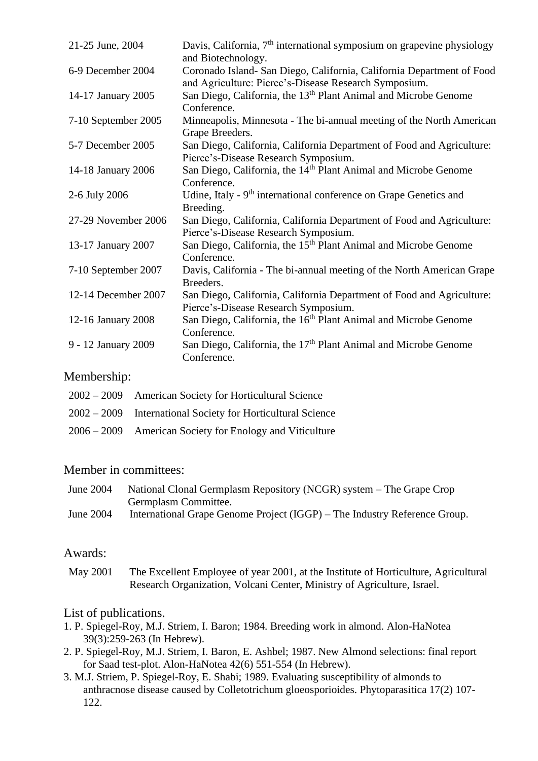| 21-25 June, 2004    | Davis, California, $7th$ international symposium on grapevine physiology<br>and Biotechnology.                                 |
|---------------------|--------------------------------------------------------------------------------------------------------------------------------|
| 6-9 December 2004   | Coronado Island- San Diego, California, California Department of Food<br>and Agriculture: Pierce's-Disease Research Symposium. |
| 14-17 January 2005  | San Diego, California, the 13 <sup>th</sup> Plant Animal and Microbe Genome<br>Conference.                                     |
| 7-10 September 2005 | Minneapolis, Minnesota - The bi-annual meeting of the North American<br>Grape Breeders.                                        |
| 5-7 December 2005   | San Diego, California, California Department of Food and Agriculture:<br>Pierce's-Disease Research Symposium.                  |
| 14-18 January 2006  | San Diego, California, the 14 <sup>th</sup> Plant Animal and Microbe Genome<br>Conference.                                     |
| 2-6 July 2006       | Udine, Italy - 9 <sup>th</sup> international conference on Grape Genetics and<br>Breeding.                                     |
| 27-29 November 2006 | San Diego, California, California Department of Food and Agriculture:<br>Pierce's-Disease Research Symposium.                  |
| 13-17 January 2007  | San Diego, California, the 15 <sup>th</sup> Plant Animal and Microbe Genome<br>Conference.                                     |
| 7-10 September 2007 | Davis, California - The bi-annual meeting of the North American Grape<br>Breeders.                                             |
| 12-14 December 2007 | San Diego, California, California Department of Food and Agriculture:<br>Pierce's-Disease Research Symposium.                  |
| 12-16 January 2008  | San Diego, California, the 16 <sup>th</sup> Plant Animal and Microbe Genome<br>Conference.                                     |
| 9 - 12 January 2009 | San Diego, California, the 17 <sup>th</sup> Plant Animal and Microbe Genome<br>Conference.                                     |

#### Membership:

| $2002 - 2009$ American Society for Horticultural Science      |
|---------------------------------------------------------------|
| $2002 - 2009$ International Society for Horticultural Science |
| $2006 - 2009$ American Society for Enology and Viticulture    |

#### Member in committees:

| June 2004 | National Clonal Germplasm Repository (NCGR) system – The Grape Crop       |
|-----------|---------------------------------------------------------------------------|
|           | Germplasm Committee.                                                      |
| June 2004 | International Grape Genome Project (IGGP) – The Industry Reference Group. |

#### Awards:

May 2001 The Excellent Employee of year 2001, at the Institute of Horticulture, Agricultural Research Organization, Volcani Center, Ministry of Agriculture, Israel.

### List of publications.

- 1. P. Spiegel-Roy, M.J. Striem, I. Baron; 1984. Breeding work in almond. Alon-HaNotea 39(3):259-263 (In Hebrew).
- 2. P. Spiegel-Roy, M.J. Striem, I. Baron, E. Ashbel; 1987. New Almond selections: final report for Saad test-plot. Alon-HaNotea 42(6) 551-554 (In Hebrew).
- 3. M.J. Striem, P. Spiegel-Roy, E. Shabi; 1989. Evaluating susceptibility of almonds to anthracnose disease caused by Colletotrichum gloeosporioides. Phytoparasitica 17(2) 107- 122.